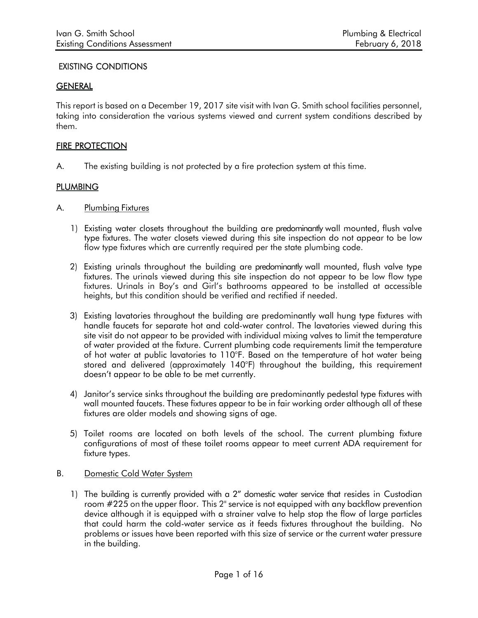# EXISTING CONDITIONS

## **GENERAL**

This report is based on a December 19, 2017 site visit with Ivan G. Smith school facilities personnel, taking into consideration the various systems viewed and current system conditions described by them.

## FIRE PROTECTION

A. The existing building is not protected by a fire protection system at this time.

## **PLUMBING**

- A. Plumbing Fixtures
	- 1) Existing water closets throughout the building are predominantly wall mounted, flush valve type fixtures. The water closets viewed during this site inspection do not appear to be low flow type fixtures which are currently required per the state plumbing code.
	- 2) Existing urinals throughout the building are predominantly wall mounted, flush valve type fixtures. The urinals viewed during this site inspection do not appear to be low flow type fixtures. Urinals in Boy's and Girl's bathrooms appeared to be installed at accessible heights, but this condition should be verified and rectified if needed.
	- 3) Existing lavatories throughout the building are predominantly wall hung type fixtures with handle faucets for separate hot and cold-water control. The lavatories viewed during this site visit do not appear to be provided with individual mixing valves to limit the temperature of water provided at the fixture. Current plumbing code requirements limit the temperature of hot water at public lavatories to 110°F. Based on the temperature of hot water being stored and delivered (approximately 140°F) throughout the building, this requirement doesn't appear to be able to be met currently.
	- 4) Janitor's service sinks throughout the building are predominantly pedestal type fixtures with wall mounted faucets. These fixtures appear to be in fair working order although all of these fixtures are older models and showing signs of age.
	- 5) Toilet rooms are located on both levels of the school. The current plumbing fixture configurations of most of these toilet rooms appear to meet current ADA requirement for fixture types.

### B. Domestic Cold Water System

1) The building is currently provided with a 2" domestic water service that resides in Custodian room #225 on the upper floor. This 2" service is not equipped with any backflow prevention device although it is equipped with a strainer valve to help stop the flow of large particles that could harm the cold-water service as it feeds fixtures throughout the building. No problems or issues have been reported with this size of service or the current water pressure in the building.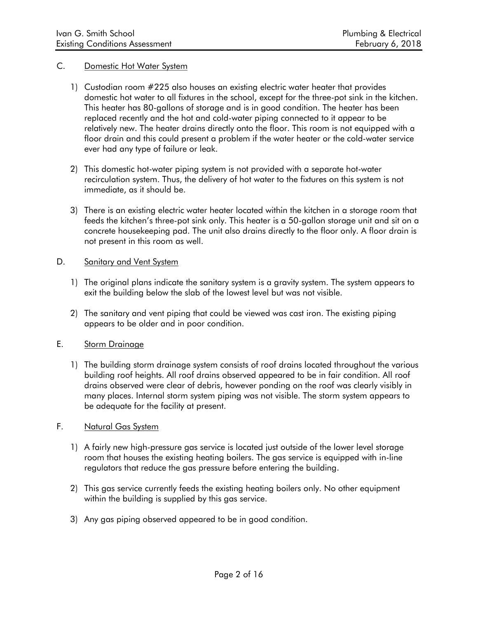#### C. Domestic Hot Water System

- 1) Custodian room #225 also houses an existing electric water heater that provides domestic hot water to all fixtures in the school, except for the three-pot sink in the kitchen. This heater has 80-gallons of storage and is in good condition. The heater has been replaced recently and the hot and cold-water piping connected to it appear to be relatively new. The heater drains directly onto the floor. This room is not equipped with a floor drain and this could present a problem if the water heater or the cold-water service ever had any type of failure or leak.
- 2) This domestic hot-water piping system is not provided with a separate hot-water recirculation system. Thus, the delivery of hot water to the fixtures on this system is not immediate, as it should be.
- 3) There is an existing electric water heater located within the kitchen in a storage room that feeds the kitchen's three-pot sink only. This heater is a 50-gallon storage unit and sit on a concrete housekeeping pad. The unit also drains directly to the floor only. A floor drain is not present in this room as well.

#### D. Sanitary and Vent System

- 1) The original plans indicate the sanitary system is a gravity system. The system appears to exit the building below the slab of the lowest level but was not visible.
- 2) The sanitary and vent piping that could be viewed was cast iron. The existing piping appears to be older and in poor condition.

### E. Storm Drainage

1) The building storm drainage system consists of roof drains located throughout the various building roof heights. All roof drains observed appeared to be in fair condition. All roof drains observed were clear of debris, however ponding on the roof was clearly visibly in many places. Internal storm system piping was not visible. The storm system appears to be adequate for the facility at present.

## F. Natural Gas System

- 1) A fairly new high-pressure gas service is located just outside of the lower level storage room that houses the existing heating boilers. The gas service is equipped with in-line regulators that reduce the gas pressure before entering the building.
- 2) This gas service currently feeds the existing heating boilers only. No other equipment within the building is supplied by this gas service.
- 3) Any gas piping observed appeared to be in good condition.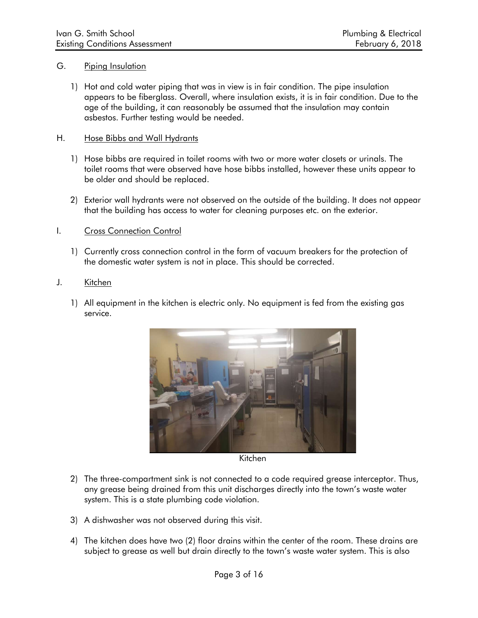#### G. Piping Insulation

1) Hot and cold water piping that was in view is in fair condition. The pipe insulation appears to be fiberglass. Overall, where insulation exists, it is in fair condition. Due to the age of the building, it can reasonably be assumed that the insulation may contain asbestos. Further testing would be needed.

#### H. Hose Bibbs and Wall Hydrants

- 1) Hose bibbs are required in toilet rooms with two or more water closets or urinals. The toilet rooms that were observed have hose bibbs installed, however these units appear to be older and should be replaced.
- 2) Exterior wall hydrants were not observed on the outside of the building. It does not appear that the building has access to water for cleaning purposes etc. on the exterior.

#### I. Cross Connection Control

1) Currently cross connection control in the form of vacuum breakers for the protection of the domestic water system is not in place. This should be corrected.

#### J. Kitchen

1) All equipment in the kitchen is electric only. No equipment is fed from the existing gas service.



Kitchen

- 2) The three-compartment sink is not connected to a code required grease interceptor. Thus, any grease being drained from this unit discharges directly into the town's waste water system. This is a state plumbing code violation.
- 3) A dishwasher was not observed during this visit.
- 4) The kitchen does have two (2) floor drains within the center of the room. These drains are subject to grease as well but drain directly to the town's waste water system. This is also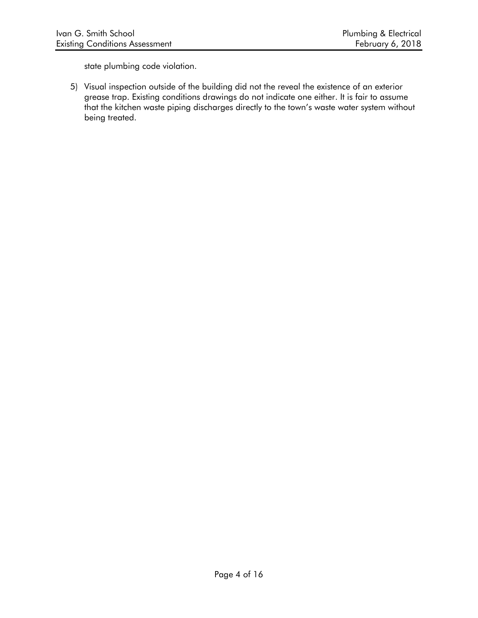state plumbing code violation.

5) Visual inspection outside of the building did not the reveal the existence of an exterior grease trap. Existing conditions drawings do not indicate one either. It is fair to assume that the kitchen waste piping discharges directly to the town's waste water system without being treated.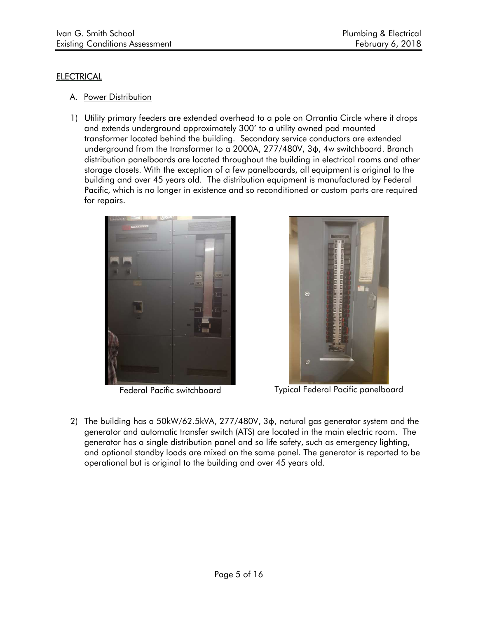## **ELECTRICAL**

- A. Power Distribution
- 1) Utility primary feeders are extended overhead to a pole on Orrantia Circle where it drops and extends underground approximately 300' to a utility owned pad mounted transformer located behind the building. Secondary service conductors are extended underground from the transformer to a 2000A, 277/480V, 3φ, 4w switchboard. Branch distribution panelboards are located throughout the building in electrical rooms and other storage closets. With the exception of a few panelboards, all equipment is original to the building and over 45 years old. The distribution equipment is manufactured by Federal Pacific, which is no longer in existence and so reconditioned or custom parts are required for repairs.





Federal Pacific switchboard Typical Federal Pacific panelboard

2) The building has a 50kW/62.5kVA, 277/480V, 3φ, natural gas generator system and the generator and automatic transfer switch (ATS) are located in the main electric room. The generator has a single distribution panel and so life safety, such as emergency lighting, and optional standby loads are mixed on the same panel. The generator is reported to be operational but is original to the building and over 45 years old.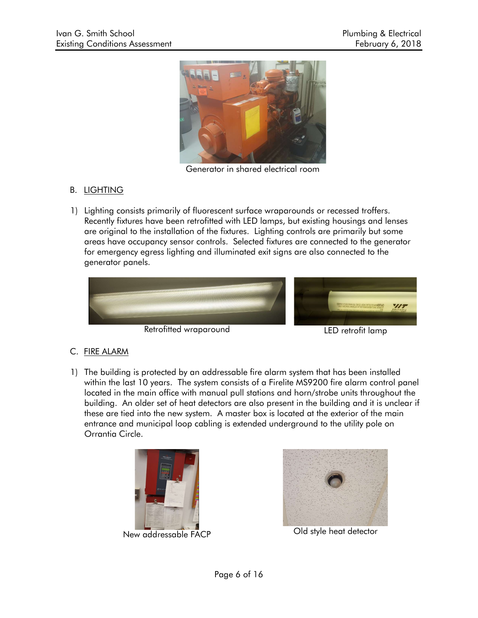

Generator in shared electrical room

# B. LIGHTING

1) Lighting consists primarily of fluorescent surface wraparounds or recessed troffers. Recently fixtures have been retrofitted with LED lamps, but existing housings and lenses are original to the installation of the fixtures. Lighting controls are primarily but some areas have occupancy sensor controls. Selected fixtures are connected to the generator for emergency egress lighting and illuminated exit signs are also connected to the generator panels.



Retrofitted wraparound LED retrofit lamp

# C. FIRE ALARM

1) The building is protected by an addressable fire alarm system that has been installed within the last 10 years. The system consists of a Firelite MS9200 fire alarm control panel located in the main office with manual pull stations and horn/strobe units throughout the building. An older set of heat detectors are also present in the building and it is unclear if these are tied into the new system. A master box is located at the exterior of the main entrance and municipal loop cabling is extended underground to the utility pole on Orrantia Circle.





New addressable FACP Old style heat detector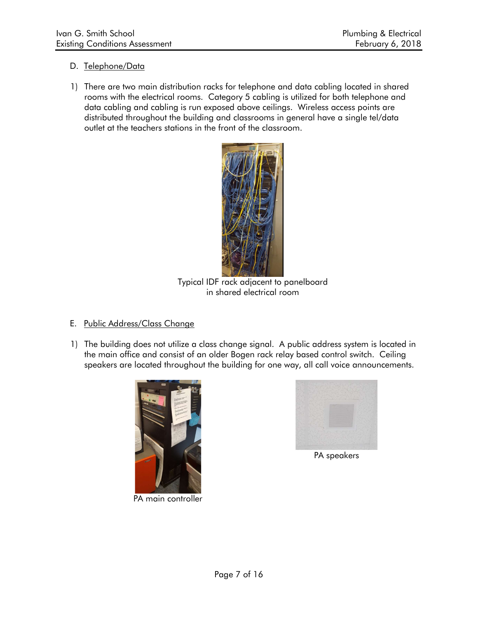## D. Telephone/Data

1) There are two main distribution racks for telephone and data cabling located in shared rooms with the electrical rooms. Category 5 cabling is utilized for both telephone and data cabling and cabling is run exposed above ceilings. Wireless access points are distributed throughout the building and classrooms in general have a single tel/data outlet at the teachers stations in the front of the classroom.



Typical IDF rack adjacent to panelboard in shared electrical room

# E. Public Address/Class Change

1) The building does not utilize a class change signal. A public address system is located in the main office and consist of an older Bogen rack relay based control switch. Ceiling speakers are located throughout the building for one way, all call voice announcements.



PA main controller



PA speakers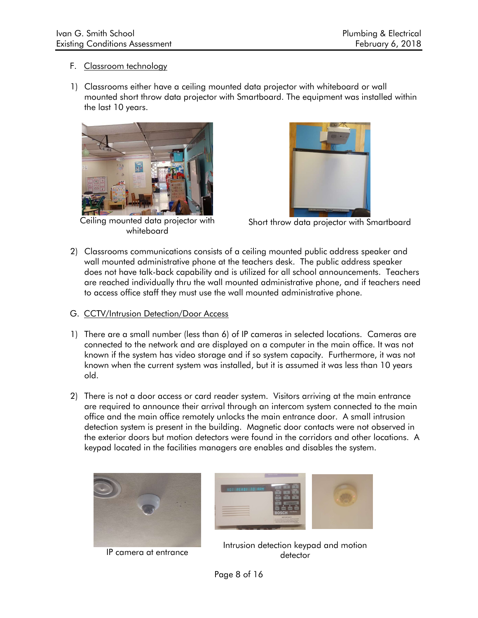## F. Classroom technology

1) Classrooms either have a ceiling mounted data projector with whiteboard or wall mounted short throw data projector with Smartboard. The equipment was installed within the last 10 years.



Ceiling mounted data projector with whiteboard



Short throw data projector with Smartboard

2) Classrooms communications consists of a ceiling mounted public address speaker and wall mounted administrative phone at the teachers desk. The public address speaker does not have talk-back capability and is utilized for all school announcements. Teachers are reached individually thru the wall mounted administrative phone, and if teachers need to access office staff they must use the wall mounted administrative phone.

### G. CCTV/Intrusion Detection/Door Access

- 1) There are a small number (less than 6) of IP cameras in selected locations. Cameras are connected to the network and are displayed on a computer in the main office. It was not known if the system has video storage and if so system capacity. Furthermore, it was not known when the current system was installed, but it is assumed it was less than 10 years old.
- 2) There is not a door access or card reader system. Visitors arriving at the main entrance are required to announce their arrival through an intercom system connected to the main office and the main office remotely unlocks the main entrance door. A small intrusion detection system is present in the building. Magnetic door contacts were not observed in the exterior doors but motion detectors were found in the corridors and other locations. A keypad located in the facilities managers are enables and disables the system.



IP camera at entrance



Intrusion detection keypad and motion detector

Page 8 of 16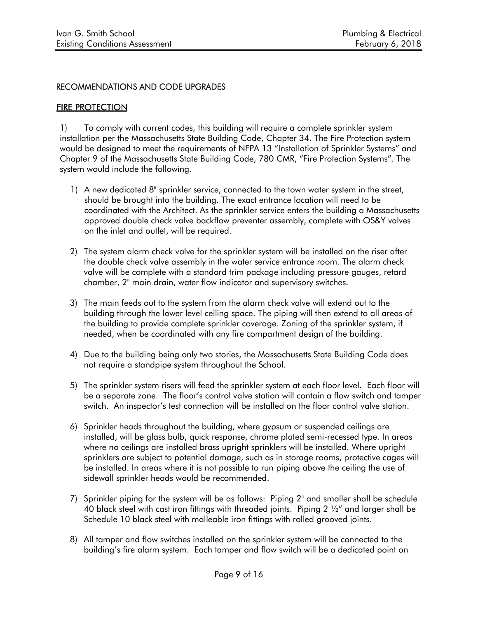## RECOMMENDATIONS AND CODE UPGRADES

## **FIRE PROTECTION**

1) To comply with current codes, this building will require a complete sprinkler system installation per the Massachusetts State Building Code, Chapter 34. The Fire Protection system would be designed to meet the requirements of NFPA 13 "Installation of Sprinkler Systems" and Chapter 9 of the Massachusetts State Building Code, 780 CMR, "Fire Protection Systems". The system would include the following.

- 1) A new dedicated 8" sprinkler service, connected to the town water system in the street, should be brought into the building. The exact entrance location will need to be coordinated with the Architect. As the sprinkler service enters the building a Massachusetts approved double check valve backflow preventer assembly, complete with OS&Y valves on the inlet and outlet, will be required.
- 2) The system alarm check valve for the sprinkler system will be installed on the riser after the double check valve assembly in the water service entrance room. The alarm check valve will be complete with a standard trim package including pressure gauges, retard chamber, 2" main drain, water flow indicator and supervisory switches.
- 3) The main feeds out to the system from the alarm check valve will extend out to the building through the lower level ceiling space. The piping will then extend to all areas of the building to provide complete sprinkler coverage. Zoning of the sprinkler system, if needed, when be coordinated with any fire compartment design of the building.
- 4) Due to the building being only two stories, the Massachusetts State Building Code does not require a standpipe system throughout the School.
- 5) The sprinkler system risers will feed the sprinkler system at each floor level. Each floor will be a separate zone. The floor's control valve station will contain a flow switch and tamper switch. An inspector's test connection will be installed on the floor control valve station.
- 6) Sprinkler heads throughout the building, where gypsum or suspended ceilings are installed, will be glass bulb, quick response, chrome plated semi-recessed type. In areas where no ceilings are installed brass upright sprinklers will be installed. Where upright sprinklers are subject to potential damage, such as in storage rooms, protective cages will be installed. In areas where it is not possible to run piping above the ceiling the use of sidewall sprinkler heads would be recommended.
- 7) Sprinkler piping for the system will be as follows: Piping 2" and smaller shall be schedule 40 black steel with cast iron fittings with threaded joints. Piping  $2\frac{1}{2}$  and larger shall be Schedule 10 black steel with malleable iron fittings with rolled grooved joints.
- 8) All tamper and flow switches installed on the sprinkler system will be connected to the building's fire alarm system. Each tamper and flow switch will be a dedicated point on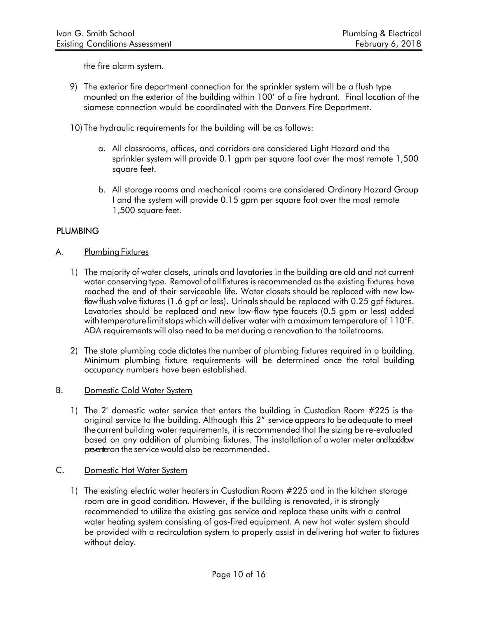the fire alarm system.

- 9) The exterior fire department connection for the sprinkler system will be a flush type mounted on the exterior of the building within 100' of a fire hydrant. Final location of the siamese connection would be coordinated with the Danvers Fire Department.
- 10) The hydraulic requirements for the building will be as follows:
	- a. All classrooms, offices, and corridors are considered Light Hazard and the sprinkler system will provide 0.1 gpm per square foot over the most remote 1,500 square feet.
	- b. All storage rooms and mechanical rooms are considered Ordinary Hazard Group I and the system will provide 0.15 gpm per square foot over the most remote 1,500 square feet.

### **PLUMBING**

- A. Plumbing Fixtures
	- 1) The majority of water closets, urinals and lavatories in the building are old and not current water conserving type. Removal of all fixtures is recommended as the existing fixtures have reached the end of their serviceable life. Water closets should be replaced with new lowflow flush valve fixtures (1.6 gpf or less). Urinals should be replaced with 0.25 gpf fixtures. Lavatories should be replaced and new low-flow type faucets (0.5 gpm or less) added with temperature limit stops which will deliver water with a maximum temperature of 110°F. ADA requirements will also need to be met during a renovation to the toilet rooms.
	- 2) The state plumbing code dictates the number of plumbing fixtures required in a building. Minimum plumbing fixture requirements will be determined once the total building occupancy numbers have been established.
- B. Domestic Cold Water System
	- 1) The 2" domestic water service that enters the building in Custodian Room #225 is the original service to the building. Although this 2" service appears to be adequate to meet the current building water requirements, it is recommended that the sizing be re-evaluated based on any addition of plumbing fixtures. The installation of a water meter and backflow preventer on the service would also be recommended.
- C. Domestic Hot Water System
	- 1) The existing electric water heaters in Custodian Room #225 and in the kitchen storage room are in good condition. However, if the building is renovated, it is strongly recommended to utilize the existing gas service and replace these units with a central water heating system consisting of gas-fired equipment. A new hot water system should be provided with a recirculation system to properly assist in delivering hot water to fixtures without delay.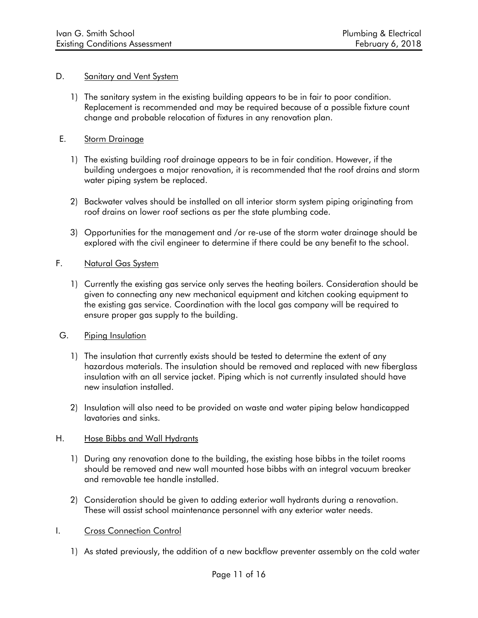#### D. Sanitary and Vent System

1) The sanitary system in the existing building appears to be in fair to poor condition. Replacement is recommended and may be required because of a possible fixture count change and probable relocation of fixtures in any renovation plan.

### E. Storm Drainage

- 1) The existing building roof drainage appears to be in fair condition. However, if the building undergoes a major renovation, it is recommended that the roof drains and storm water piping system be replaced.
- 2) Backwater valves should be installed on all interior storm system piping originating from roof drains on lower roof sections as per the state plumbing code.
- 3) Opportunities for the management and /or re-use of the storm water drainage should be explored with the civil engineer to determine if there could be any benefit to the school.

### F. Natural Gas System

1) Currently the existing gas service only serves the heating boilers. Consideration should be given to connecting any new mechanical equipment and kitchen cooking equipment to the existing gas service. Coordination with the local gas company will be required to ensure proper gas supply to the building.

### G. Piping Insulation

- 1) The insulation that currently exists should be tested to determine the extent of any hazardous materials. The insulation should be removed and replaced with new fiberglass insulation with an all service jacket. Piping which is not currently insulated should have new insulation installed.
- 2) Insulation will also need to be provided on waste and water piping below handicapped lavatories and sinks.

#### H. Hose Bibbs and Wall Hydrants

- 1) During any renovation done to the building, the existing hose bibbs in the toilet rooms should be removed and new wall mounted hose bibbs with an integral vacuum breaker and removable tee handle installed.
- 2) Consideration should be given to adding exterior wall hydrants during a renovation. These will assist school maintenance personnel with any exterior water needs.

### I. Cross Connection Control

1) As stated previously, the addition of a new backflow preventer assembly on the cold water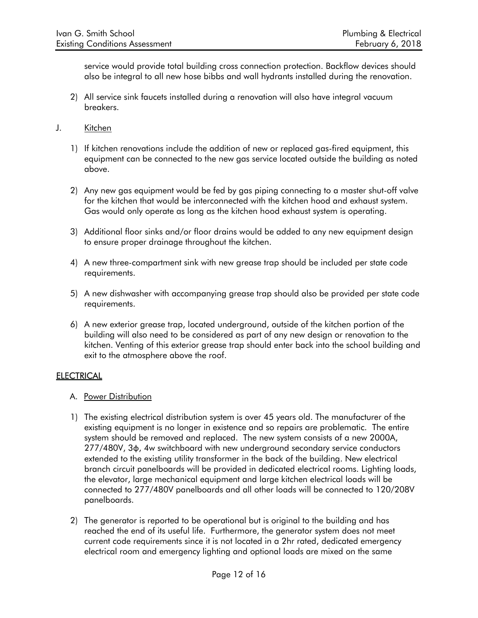service would provide total building cross connection protection. Backflow devices should also be integral to all new hose bibbs and wall hydrants installed during the renovation.

- 2) All service sink faucets installed during a renovation will also have integral vacuum breakers.
- J. Kitchen
	- 1) If kitchen renovations include the addition of new or replaced gas-fired equipment, this equipment can be connected to the new gas service located outside the building as noted above.
	- 2) Any new gas equipment would be fed by gas piping connecting to a master shut-off valve for the kitchen that would be interconnected with the kitchen hood and exhaust system. Gas would only operate as long as the kitchen hood exhaust system is operating.
	- 3) Additional floor sinks and/or floor drains would be added to any new equipment design to ensure proper drainage throughout the kitchen.
	- 4) A new three-compartment sink with new grease trap should be included per state code requirements.
	- 5) A new dishwasher with accompanying grease trap should also be provided per state code requirements.
	- 6) A new exterior grease trap, located underground, outside of the kitchen portion of the building will also need to be considered as part of any new design or renovation to the kitchen. Venting of this exterior grease trap should enter back into the school building and exit to the atmosphere above the roof.

# **ELECTRICAL**

- A. Power Distribution
- 1) The existing electrical distribution system is over 45 years old. The manufacturer of the existing equipment is no longer in existence and so repairs are problematic. The entire system should be removed and replaced. The new system consists of a new 2000A, 277/480V, 3φ, 4w switchboard with new underground secondary service conductors extended to the existing utility transformer in the back of the building. New electrical branch circuit panelboards will be provided in dedicated electrical rooms. Lighting loads, the elevator, large mechanical equipment and large kitchen electrical loads will be connected to 277/480V panelboards and all other loads will be connected to 120/208V panelboards.
- 2) The generator is reported to be operational but is original to the building and has reached the end of its useful life. Furthermore, the generator system does not meet current code requirements since it is not located in a 2hr rated, dedicated emergency electrical room and emergency lighting and optional loads are mixed on the same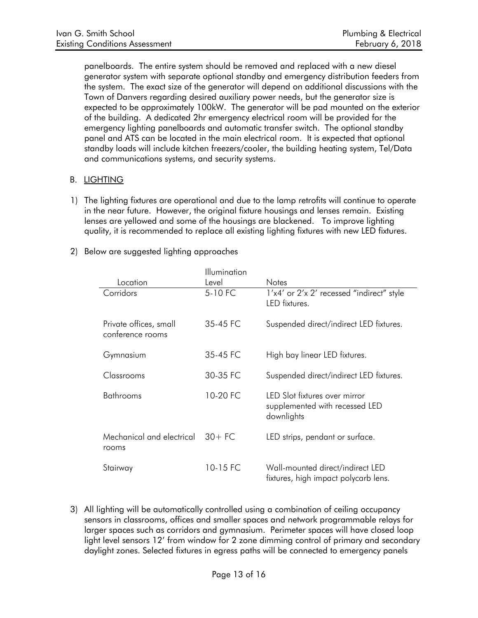panelboards. The entire system should be removed and replaced with a new diesel generator system with separate optional standby and emergency distribution feeders from the system. The exact size of the generator will depend on additional discussions with the Town of Danvers regarding desired auxiliary power needs, but the generator size is expected to be approximately 100kW. The generator will be pad mounted on the exterior of the building. A dedicated 2hr emergency electrical room will be provided for the emergency lighting panelboards and automatic transfer switch. The optional standby panel and ATS can be located in the main electrical room. It is expected that optional standby loads will include kitchen freezers/cooler, the building heating system, Tel/Data and communications systems, and security systems.

## B. LIGHTING

- 1) The lighting fixtures are operational and due to the lamp retrofits will continue to operate in the near future. However, the original fixture housings and lenses remain. Existing lenses are yellowed and some of the housings are blackened. To improve lighting quality, it is recommended to replace all existing lighting fixtures with new LED fixtures.
- 2) Below are suggested lighting approaches

|                                            | <b>Illumination</b> |                                                                               |
|--------------------------------------------|---------------------|-------------------------------------------------------------------------------|
| Location                                   | Level               | <b>Notes</b>                                                                  |
| Corridors                                  | 5-10 FC             | 1'x4' or 2'x 2' recessed "indirect" style<br><b>IFD</b> fixtures              |
| Private offices, small<br>conference rooms | 35-45 FC            | Suspended direct/indirect LED fixtures.                                       |
| Gymnasium                                  | 35-45 FC            | High bay linear LED fixtures.                                                 |
| Classrooms                                 | 30-35 FC            | Suspended direct/indirect LED fixtures.                                       |
| <b>Bathrooms</b>                           | 10-20 FC            | LED Slot fixtures over mirror<br>supplemented with recessed LED<br>downlights |
| Mechanical and electrical<br>rooms         | $30+FC$             | LED strips, pendant or surface.                                               |
| Stairway                                   | 10-15 FC            | Wall-mounted direct/indirect LED<br>fixtures, high impact polycarb lens.      |

3) All lighting will be automatically controlled using a combination of ceiling occupancy sensors in classrooms, offices and smaller spaces and network programmable relays for larger spaces such as corridors and gymnasium. Perimeter spaces will have closed loop light level sensors 12' from window for 2 zone dimming control of primary and secondary daylight zones. Selected fixtures in egress paths will be connected to emergency panels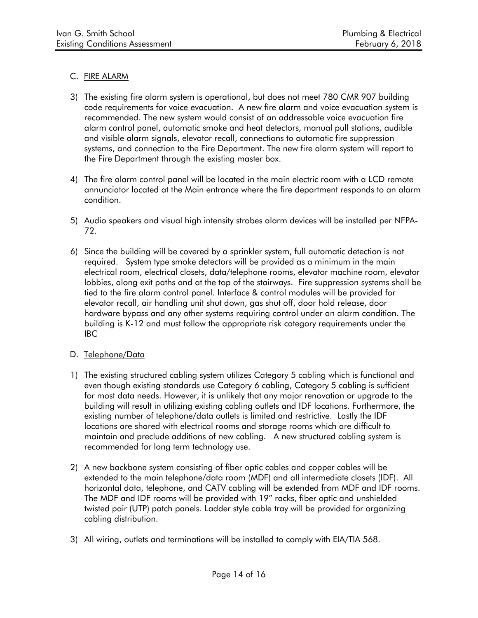## C. FIRE ALARM

- 3) The existing fire alarm system is operational, but does not meet 780 CMR 907 building code requirements for voice evacuation. A new fire alarm and voice evacuation system is recommended. The new system would consist of an addressable voice evacuation fire alarm control panel, automatic smoke and heat detectors, manual pull stations, audible and visible alarm signals, elevator recall, connections to automatic fire suppression systems, and connection to the Fire Department. The new fire alarm system will report to the Fire Department through the existing master box.
- 4) The fire alarm control panel will be located in the main electric room with a LCD remote annunciator located at the Main entrance where the fire department responds to an alarm condition.
- 5) Audio speakers and visual high intensity strobes alarm devices will be installed per NFPA-72.
- 6) Since the building will be covered by a sprinkler system, full automatic detection is not required. System type smoke detectors will be provided as a minimum in the main electrical room, electrical closets, data/telephone rooms, elevator machine room, elevator lobbies, along exit paths and at the top of the stairways. Fire suppression systems shall be tied to the fire alarm control panel. Interface & control modules will be provided for elevator recall, air handling unit shut down, gas shut off, door hold release, door hardware bypass and any other systems requiring control under an alarm condition. The building is K-12 and must follow the appropriate risk category requirements under the IBC

# D. Telephone/Data

- 1) The existing structured cabling system utilizes Category 5 cabling which is functional and even though existing standards use Category 6 cabling, Category 5 cabling is sufficient for most data needs. However, it is unlikely that any major renovation or upgrade to the building will result in utilizing existing cabling outlets and IDF locations. Furthermore, the existing number of telephone/data outlets is limited and restrictive. Lastly the IDF locations are shared with electrical rooms and storage rooms which are difficult to maintain and preclude additions of new cabling. A new structured cabling system is recommended for long term technology use.
- 2) A new backbone system consisting of fiber optic cables and copper cables will be extended to the main telephone/data room (MDF) and all intermediate closets (IDF). All horizontal data, telephone, and CATV cabling will be extended from MDF and IDF rooms. The MDF and IDF rooms will be provided with 19" racks, fiber optic and unshielded twisted pair (UTP) patch panels. Ladder style cable tray will be provided for organizing cabling distribution.
- 3) All wiring, outlets and terminations will be installed to comply with EIA/TIA 568.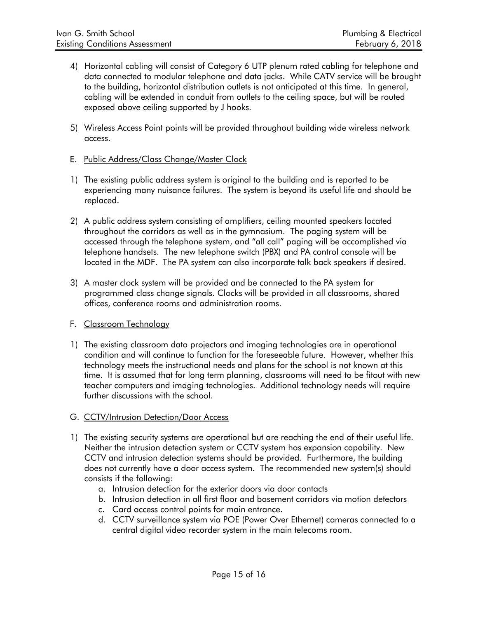- 4) Horizontal cabling will consist of Category 6 UTP plenum rated cabling for telephone and data connected to modular telephone and data jacks. While CATV service will be brought to the building, horizontal distribution outlets is not anticipated at this time. In general, cabling will be extended in conduit from outlets to the ceiling space, but will be routed exposed above ceiling supported by J hooks.
- 5) Wireless Access Point points will be provided throughout building wide wireless network access.

### E. Public Address/Class Change/Master Clock

- 1) The existing public address system is original to the building and is reported to be experiencing many nuisance failures. The system is beyond its useful life and should be replaced.
- 2) A public address system consisting of amplifiers, ceiling mounted speakers located throughout the corridors as well as in the gymnasium. The paging system will be accessed through the telephone system, and "all call" paging will be accomplished via telephone handsets. The new telephone switch (PBX) and PA control console will be located in the MDF. The PA system can also incorporate talk back speakers if desired.
- 3) A master clock system will be provided and be connected to the PA system for programmed class change signals. Clocks will be provided in all classrooms, shared offices, conference rooms and administration rooms.

### F. Classroom Technology

1) The existing classroom data projectors and imaging technologies are in operational condition and will continue to function for the foreseeable future. However, whether this technology meets the instructional needs and plans for the school is not known at this time. It is assumed that for long term planning, classrooms will need to be fitout with new teacher computers and imaging technologies. Additional technology needs will require further discussions with the school.

### G. CCTV/Intrusion Detection/Door Access

- 1) The existing security systems are operational but are reaching the end of their useful life. Neither the intrusion detection system or CCTV system has expansion capability. New CCTV and intrusion detection systems should be provided. Furthermore, the building does not currently have a door access system. The recommended new system(s) should consists if the following:
	- a. Intrusion detection for the exterior doors via door contacts
	- b. Intrusion detection in all first floor and basement corridors via motion detectors
	- c. Card access control points for main entrance.
	- d. CCTV surveillance system via POE (Power Over Ethernet) cameras connected to a central digital video recorder system in the main telecoms room.